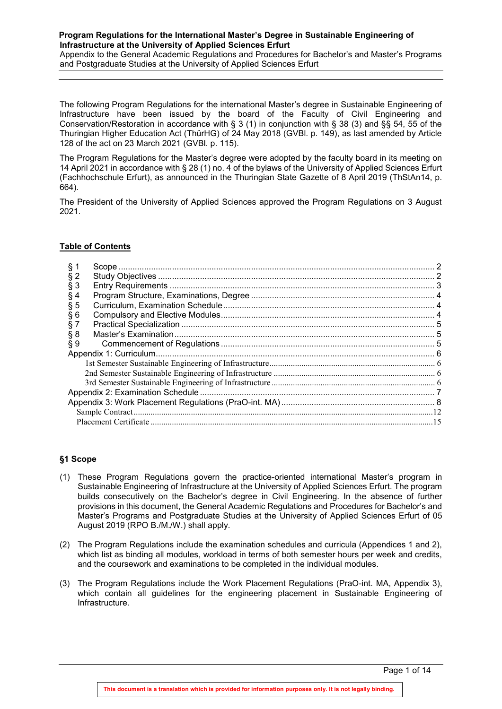Appendix to the General Academic Regulations and Procedures for Bachelor's and Master's Programs and Postgraduate Studies at the University of Applied Sciences Erfurt

The following Program Regulations for the international Master's degree in Sustainable Engineering of Infrastructure have been issued by the board of the Faculty of Civil Engineering and Conservation/Restoration in accordance with § 3 (1) in conjunction with § 38 (3) and §§ 54, 55 of the Thuringian Higher Education Act (ThürHG) of 24 May 2018 (GVBl. p. 149), as last amended by Article 128 of the act on 23 March 2021 (GVBl. p. 115).

The Program Regulations for the Master's degree were adopted by the faculty board in its meeting on 14 April 2021 in accordance with § 28 (1) no. 4 of the bylaws of the University of Applied Sciences Erfurt (Fachhochschule Erfurt), as announced in the Thuringian State Gazette of 8 April 2019 (ThStAn14, p. 664).

The President of the University of Applied Sciences approved the Program Regulations on 3 August 2021.

# **Table of Contents**

| § 1    |  |
|--------|--|
| $§$ 2  |  |
| $§$ 3  |  |
| § 4    |  |
| § 5    |  |
| §6     |  |
| § 7    |  |
| $\S 8$ |  |
| § 9    |  |
|        |  |
|        |  |
|        |  |
|        |  |
|        |  |
|        |  |
|        |  |
|        |  |
|        |  |

#### <span id="page-0-0"></span>**§1 Scope**

- (1) These Program Regulations govern the practice-oriented international Master's program in Sustainable Engineering of Infrastructure at the University of Applied Sciences Erfurt. The program builds consecutively on the Bachelor's degree in Civil Engineering. In the absence of further provisions in this document, the General Academic Regulations and Procedures for Bachelor's and Master's Programs and Postgraduate Studies at the University of Applied Sciences Erfurt of 05 August 2019 (RPO B./M./W.) shall apply.
- (2) The Program Regulations include the examination schedules and curricula (Appendices 1 and 2), which list as binding all modules, workload in terms of both semester hours per week and credits, and the coursework and examinations to be completed in the individual modules.
- (3) The Program Regulations include the Work Placement Regulations (PraO-int. MA, Appendix 3), which contain all guidelines for the engineering placement in Sustainable Engineering of Infrastructure.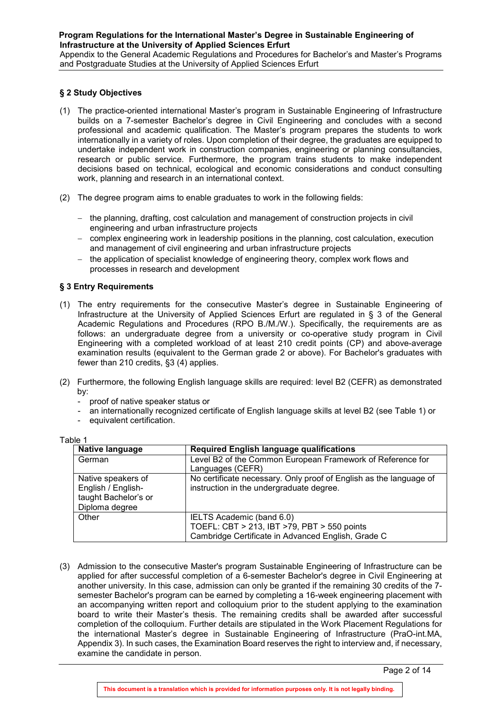Appendix to the General Academic Regulations and Procedures for Bachelor's and Master's Programs and Postgraduate Studies at the University of Applied Sciences Erfurt

#### <span id="page-1-0"></span>**§ 2 Study Objectives**

- (1) The practice-oriented international Master's program in Sustainable Engineering of Infrastructure builds on a 7-semester Bachelor's degree in Civil Engineering and concludes with a second professional and academic qualification. The Master's program prepares the students to work internationally in a variety of roles. Upon completion of their degree, the graduates are equipped to undertake independent work in construction companies, engineering or planning consultancies, research or public service. Furthermore, the program trains students to make independent decisions based on technical, ecological and economic considerations and conduct consulting work, planning and research in an international context.
- (2) The degree program aims to enable graduates to work in the following fields:
	- − the planning, drafting, cost calculation and management of construction projects in civil engineering and urban infrastructure projects
	- − complex engineering work in leadership positions in the planning, cost calculation, execution and management of civil engineering and urban infrastructure projects
	- − the application of specialist knowledge of engineering theory, complex work flows and processes in research and development

# <span id="page-1-1"></span>**§ 3 Entry Requirements**

- (1) The entry requirements for the consecutive Master's degree in Sustainable Engineering of Infrastructure at the University of Applied Sciences Erfurt are regulated in § 3 of the General Academic Regulations and Procedures (RPO B./M./W.). Specifically, the requirements are as follows: an undergraduate degree from a university or co-operative study program in Civil Engineering with a completed workload of at least 210 credit points (CP) and above-average examination results (equivalent to the German grade 2 or above). For Bachelor's graduates with fewer than 210 credits, §3 (4) applies.
- (2) Furthermore, the following English language skills are required: level B2 (CEFR) as demonstrated by:
	- proof of native speaker status or
	- an internationally recognized certificate of English language skills at level B2 (see [Table 1\)](#page-1-2) or
	- equivalent certification.

<span id="page-1-2"></span>

| о. |
|----|
|----|

| Native language                                                                    | <b>Required English language qualifications</b>                                                                                |
|------------------------------------------------------------------------------------|--------------------------------------------------------------------------------------------------------------------------------|
| German                                                                             | Level B2 of the Common European Framework of Reference for<br>Languages (CEFR)                                                 |
| Native speakers of<br>English / English-<br>taught Bachelor's or<br>Diploma degree | No certificate necessary. Only proof of English as the language of<br>instruction in the undergraduate degree.                 |
| Other                                                                              | IELTS Academic (band 6.0)<br>TOEFL: CBT > 213, IBT >79, PBT > 550 points<br>Cambridge Certificate in Advanced English, Grade C |

(3) Admission to the consecutive Master's program Sustainable Engineering of Infrastructure can be applied for after successful completion of a 6-semester Bachelor's degree in Civil Engineering at another university. In this case, admission can only be granted if the remaining 30 credits of the 7 semester Bachelor's program can be earned by completing a 16-week engineering placement with an accompanying written report and colloquium prior to the student applying to the examination board to write their Master's thesis. The remaining credits shall be awarded after successful completion of the colloquium. Further details are stipulated in the Work Placement Regulations for the international Master's degree in Sustainable Engineering of Infrastructure (PraO-int.MA, Appendix 3). In such cases, the Examination Board reserves the right to interview and, if necessary, examine the candidate in person.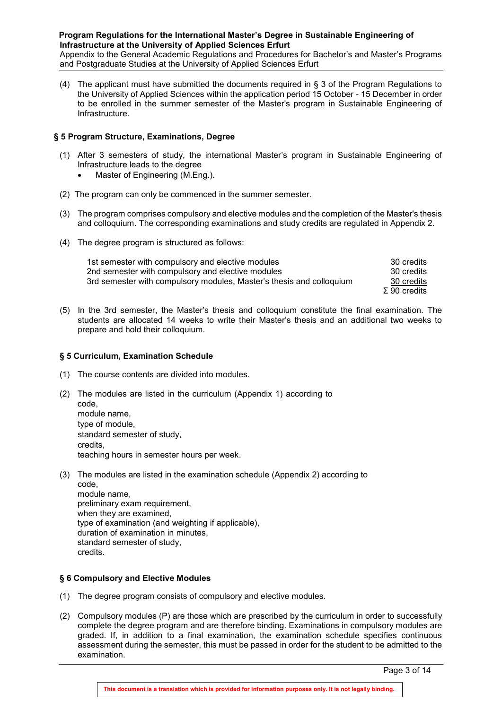Appendix to the General Academic Regulations and Procedures for Bachelor's and Master's Programs and Postgraduate Studies at the University of Applied Sciences Erfurt

(4) The applicant must have submitted the documents required in § 3 of the Program Regulations to the University of Applied Sciences within the application period 15 October - 15 December in order to be enrolled in the summer semester of the Master's program in Sustainable Engineering of Infrastructure.

#### <span id="page-2-0"></span>**§ 5 Program Structure, Examinations, Degree**

- (1) After 3 semesters of study, the international Master's program in Sustainable Engineering of Infrastructure leads to the degree
	- Master of Engineering (M.Eng.).
- (2) The program can only be commenced in the summer semester.
- (3) The program comprises compulsory and elective modules and the completion of the Master's thesis and colloquium. The corresponding examinations and study credits are regulated in Appendix 2.
- (4) The degree program is structured as follows:

| 1st semester with compulsory and elective modules                    | 30 credits     |
|----------------------------------------------------------------------|----------------|
| 2nd semester with compulsory and elective modules                    | 30 credits     |
| 3rd semester with compulsory modules, Master's thesis and colloquium | 30 credits     |
|                                                                      | $Σ 90$ credits |

(5) In the 3rd semester, the Master's thesis and colloquium constitute the final examination. The students are allocated 14 weeks to write their Master's thesis and an additional two weeks to prepare and hold their colloquium.

#### <span id="page-2-1"></span>**§ 5 Curriculum, Examination Schedule**

- (1) The course contents are divided into modules.
- (2) The modules are listed in the curriculum (Appendix 1) according to code, module name, type of module, standard semester of study, credits, teaching hours in semester hours per week.
- (3) The modules are listed in the examination schedule (Appendix 2) according to code, module name, preliminary exam requirement, when they are examined, type of examination (and weighting if applicable), duration of examination in minutes, standard semester of study,
	- credits.

# <span id="page-2-2"></span>**§ 6 Compulsory and Elective Modules**

- (1) The degree program consists of compulsory and elective modules.
- (2) Compulsory modules (P) are those which are prescribed by the curriculum in order to successfully complete the degree program and are therefore binding. Examinations in compulsory modules are graded. If, in addition to a final examination, the examination schedule specifies continuous assessment during the semester, this must be passed in order for the student to be admitted to the examination.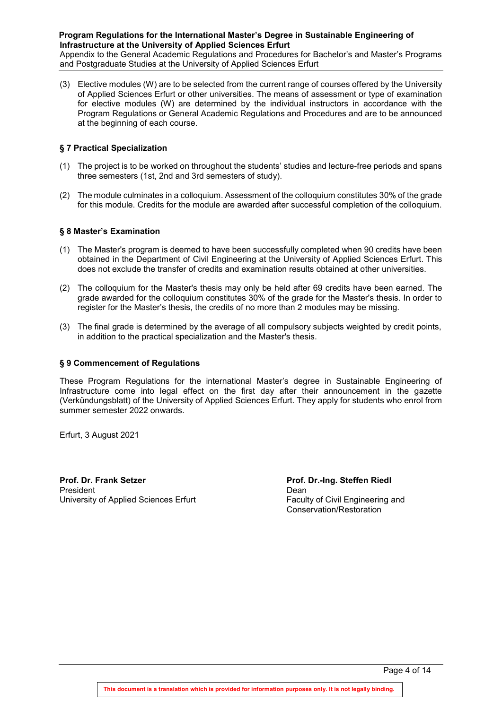Appendix to the General Academic Regulations and Procedures for Bachelor's and Master's Programs and Postgraduate Studies at the University of Applied Sciences Erfurt

(3) Elective modules (W) are to be selected from the current range of courses offered by the University of Applied Sciences Erfurt or other universities. The means of assessment or type of examination for elective modules (W) are determined by the individual instructors in accordance with the Program Regulations or General Academic Regulations and Procedures and are to be announced at the beginning of each course.

#### <span id="page-3-0"></span>**§ 7 Practical Specialization**

- (1) The project is to be worked on throughout the students' studies and lecture-free periods and spans three semesters (1st, 2nd and 3rd semesters of study).
- (2) The module culminates in a colloquium. Assessment of the colloquium constitutes 30% of the grade for this module. Credits for the module are awarded after successful completion of the colloquium.

#### <span id="page-3-1"></span>**§ 8 Master's Examination**

- (1) The Master's program is deemed to have been successfully completed when 90 credits have been obtained in the Department of Civil Engineering at the University of Applied Sciences Erfurt. This does not exclude the transfer of credits and examination results obtained at other universities.
- (2) The colloquium for the Master's thesis may only be held after 69 credits have been earned. The grade awarded for the colloquium constitutes 30% of the grade for the Master's thesis. In order to register for the Master's thesis, the credits of no more than 2 modules may be missing.
- (3) The final grade is determined by the average of all compulsory subjects weighted by credit points, in addition to the practical specialization and the Master's thesis.

#### <span id="page-3-2"></span>**§ 9 Commencement of Regulations**

These Program Regulations for the international Master's degree in Sustainable Engineering of Infrastructure come into legal effect on the first day after their announcement in the gazette (Verkündungsblatt) of the University of Applied Sciences Erfurt. They apply for students who enrol from summer semester 2022 onwards.

Erfurt, 3 August 2021

**Prof. Dr. Frank Setzer Prof. Dr.-Ing. Steffen Riedl** President<br>
University of Applied Sciences Erfurt<br>
University of Applied Sciences Erfurt<br>
Dean<br>
Faculty of Civil Engineering and University of Applied Sciences Erfurt

Conservation/Restoration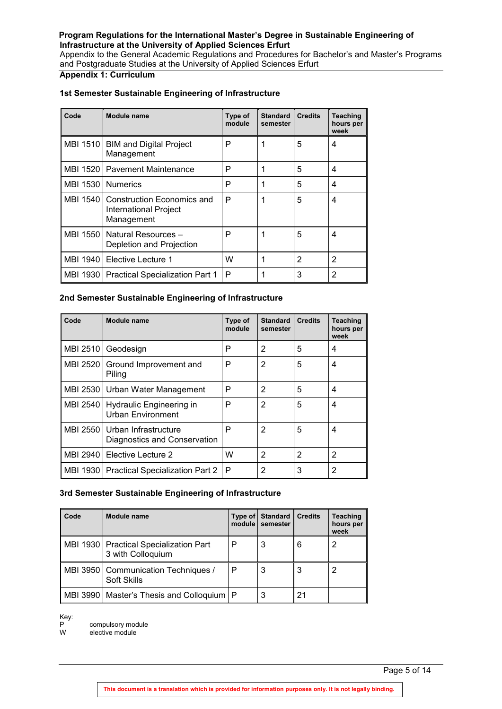Appendix to the General Academic Regulations and Procedures for Bachelor's and Master's Programs and Postgraduate Studies at the University of Applied Sciences Erfurt

# <span id="page-4-0"></span>**Appendix 1: Curriculum**

#### <span id="page-4-1"></span>**1st Semester Sustainable Engineering of Infrastructure**

| Code                            | Module name                                                                | Type of<br>module | <b>Standard</b><br>semester | <b>Credits</b> | Teaching<br>hours per<br>week |
|---------------------------------|----------------------------------------------------------------------------|-------------------|-----------------------------|----------------|-------------------------------|
|                                 | MBI 1510   BIM and Digital Project<br>Management                           | Р                 |                             | 5              | 4                             |
| MBI 1520   Pavement Maintenance |                                                                            | P                 |                             | 5              | 4                             |
| <b>MBI 1530</b>                 | <b>Numerics</b>                                                            | Р                 |                             | 5              | 4                             |
|                                 | MBI 1540 Construction Economics and<br>International Project<br>Management | P                 | 1                           | 5              | 4                             |
|                                 | MBI 1550   Natural Resources -<br>Depletion and Projection                 | Р                 | 1                           | 5              | 4                             |
|                                 | MBI 1940   Elective Lecture 1                                              | W                 |                             | 2              | 2                             |
|                                 | MBI 1930   Practical Specialization Part 1                                 | P                 |                             | 3              | 2                             |

#### <span id="page-4-2"></span>**2nd Semester Sustainable Engineering of Infrastructure**

| Code     | Module name                                                     | Type of<br>module | <b>Standard</b><br>semester | <b>Credits</b> | Teaching<br>hours per<br>week |
|----------|-----------------------------------------------------------------|-------------------|-----------------------------|----------------|-------------------------------|
| MBI 2510 | Geodesign                                                       | Р                 | 2                           | 5              | 4                             |
|          | MBI 2520 Ground Improvement and<br>Piling                       | Р                 | 2                           | 5              | 4                             |
|          | MBI 2530   Urban Water Management                               | Р                 | 2                           | 5              | 4                             |
|          | MBI 2540   Hydraulic Engineering in<br><b>Urban Environment</b> | Р                 | 2                           | 5              | 4                             |
|          | MBI 2550   Urban Infrastructure<br>Diagnostics and Conservation | P                 | 2                           | 5              | 4                             |
|          | MBI 2940   Elective Lecture 2                                   | W                 | 2                           | 2              | 2                             |
|          | MBI 1930   Practical Specialization Part 2                      | ∣ P               | 2                           | 3              | 2                             |

# <span id="page-4-3"></span>**3rd Semester Sustainable Engineering of Infrastructure**

| Code | Module name                                                   | Type of<br>module | <b>Standard</b><br>semester | <b>Credits</b> | <b>Teaching</b><br>hours per<br>week |
|------|---------------------------------------------------------------|-------------------|-----------------------------|----------------|--------------------------------------|
|      | MBI 1930   Practical Specialization Part<br>3 with Colloquium | Р                 | 3                           | 6              |                                      |
|      | MBI 3950   Communication Techniques /<br><b>Soft Skills</b>   | P                 | 3                           | 3              |                                      |
|      | MBI 3990   Master's Thesis and Colloquium   P                 |                   |                             | 21             |                                      |

Key:<br>P

P compulsory module W elective module

Page 5 of 14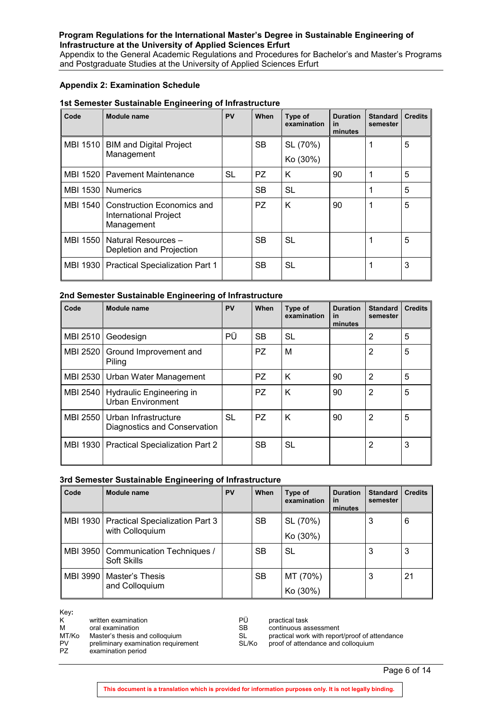Appendix to the General Academic Regulations and Procedures for Bachelor's and Master's Programs and Postgraduate Studies at the University of Applied Sciences Erfurt

#### <span id="page-5-0"></span>**Appendix 2: Examination Schedule**

#### **1st Semester Sustainable Engineering of Infrastructure**

| Code     | <b>Module name</b>                                                           | PV        | When      | Type of<br>examination | <b>Duration</b><br>in<br>minutes | <b>Standard</b><br>semester | <b>Credits</b> |
|----------|------------------------------------------------------------------------------|-----------|-----------|------------------------|----------------------------------|-----------------------------|----------------|
| MBI 1510 | <b>BIM and Digital Project</b>                                               |           | <b>SB</b> | SL (70%)               |                                  |                             | 5              |
|          | Management                                                                   |           |           | Ko (30%)               |                                  |                             |                |
|          | MBI 1520   Pavement Maintenance                                              | <b>SL</b> | PZ.       | K                      | 90                               |                             | 5              |
| MBI 1530 | <b>Numerics</b>                                                              |           | <b>SB</b> | <b>SL</b>              |                                  |                             | 5              |
|          | MBI 1540   Construction Economics and<br>International Project<br>Management |           | PZ.       | K                      | 90                               | 1                           | 5              |
| MBI 1550 | Natural Resources -<br>Depletion and Projection                              |           | <b>SB</b> | <b>SL</b>              |                                  | 1                           | 5              |
| MBI 1930 | <b>Practical Specialization Part 1</b>                                       |           | <b>SB</b> | <b>SL</b>              |                                  | 1                           | 3              |

### **2nd Semester Sustainable Engineering of Infrastructure**

| Code            | Module name                                                     | PV        | When      | Type of<br>examination | <b>Duration</b><br><b>in</b><br>minutes | <b>Standard</b><br>semester | <b>Credits</b> |
|-----------------|-----------------------------------------------------------------|-----------|-----------|------------------------|-----------------------------------------|-----------------------------|----------------|
| <b>MBI 2510</b> | Geodesign                                                       | РÜ        | <b>SB</b> | <b>SL</b>              |                                         | 2                           | 5              |
| MBI 2520        | Ground Improvement and<br>Piling                                |           | PZ.       | м                      |                                         | 2                           | 5              |
|                 | MBI 2530   Urban Water Management                               |           | PZ.       | K                      | 90                                      | $\overline{2}$              | 5              |
|                 | MBI 2540   Hydraulic Engineering in<br><b>Urban Environment</b> |           | PZ.       | K                      | 90                                      | $\overline{2}$              | 5              |
|                 | MBI 2550   Urban Infrastructure<br>Diagnostics and Conservation | <b>SL</b> | PZ.       | K                      | 90                                      | 2                           | 5              |
| MBI 1930 I      | <b>Practical Specialization Part 2</b>                          |           | <b>SB</b> | <b>SL</b>              |                                         | 2                           | 3              |

#### **3rd Semester Sustainable Engineering of Infrastructure**

| Code | Module name                                          | <b>PV</b> | When      | Type of<br>examination | <b>Duration</b><br><u>in</u><br>minutes | <b>Standard</b><br>semester | <b>Credits</b> |
|------|------------------------------------------------------|-----------|-----------|------------------------|-----------------------------------------|-----------------------------|----------------|
|      | MBI 1930   Practical Specialization Part 3           |           | <b>SB</b> | SL (70%)               |                                         | 3                           | 6              |
|      | with Colloquium                                      |           |           | Ko (30%)               |                                         |                             |                |
|      | MBI 3950   Communication Techniques /<br>Soft Skills |           | <b>SB</b> | <b>SL</b>              |                                         | 3                           | 3              |
|      | MBI 3990   Master's Thesis                           |           | <b>SB</b> | MT (70%)               |                                         | 3                           | 21             |
|      | and Colloquium                                       |           |           | Ko (30%)               |                                         |                             |                |

| Key:<br>K<br>written examination<br>м<br>oral examination<br>MT/Ko<br>Master's thesis and colloquium<br>preliminary examination requirement<br><b>PV</b><br>PZ.<br>examination period | РÜ<br><b>SB</b><br>SL<br>SL/Ko | practical task<br>continuous assessment<br>practical work with report/proof of attendance<br>proof of attendance and colloquium |
|---------------------------------------------------------------------------------------------------------------------------------------------------------------------------------------|--------------------------------|---------------------------------------------------------------------------------------------------------------------------------|
|---------------------------------------------------------------------------------------------------------------------------------------------------------------------------------------|--------------------------------|---------------------------------------------------------------------------------------------------------------------------------|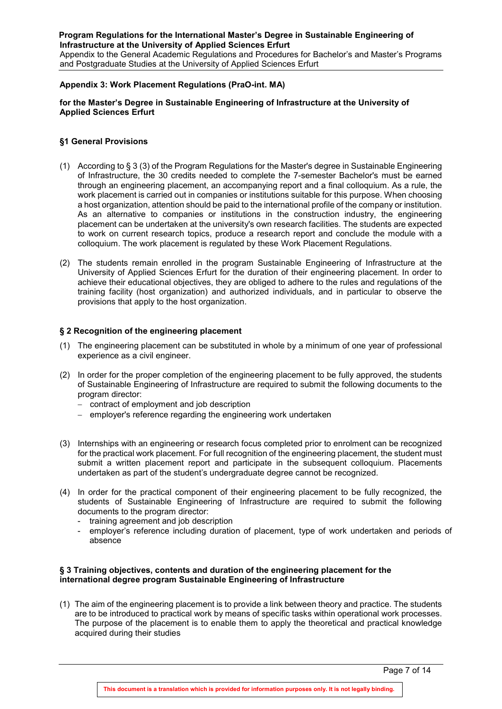Appendix to the General Academic Regulations and Procedures for Bachelor's and Master's Programs and Postgraduate Studies at the University of Applied Sciences Erfurt

#### <span id="page-6-0"></span>**Appendix 3: Work Placement Regulations (PraO-int. MA)**

#### **for the Master's Degree in Sustainable Engineering of Infrastructure at the University of Applied Sciences Erfurt**

#### **§1 General Provisions**

- (1) According to § 3 (3) of the Program Regulations for the Master's degree in Sustainable Engineering of Infrastructure, the 30 credits needed to complete the 7-semester Bachelor's must be earned through an engineering placement, an accompanying report and a final colloquium. As a rule, the work placement is carried out in companies or institutions suitable for this purpose. When choosing a host organization, attention should be paid to the international profile of the company or institution. As an alternative to companies or institutions in the construction industry, the engineering placement can be undertaken at the university's own research facilities. The students are expected to work on current research topics, produce a research report and conclude the module with a colloquium. The work placement is regulated by these Work Placement Regulations.
- (2) The students remain enrolled in the program Sustainable Engineering of Infrastructure at the University of Applied Sciences Erfurt for the duration of their engineering placement. In order to achieve their educational objectives, they are obliged to adhere to the rules and regulations of the training facility (host organization) and authorized individuals, and in particular to observe the provisions that apply to the host organization.

#### **§ 2 Recognition of the engineering placement**

- (1) The engineering placement can be substituted in whole by a minimum of one year of professional experience as a civil engineer.
- (2) In order for the proper completion of the engineering placement to be fully approved, the students of Sustainable Engineering of Infrastructure are required to submit the following documents to the program director:
	- − contract of employment and job description
	- − employer's reference regarding the engineering work undertaken
- (3) Internships with an engineering or research focus completed prior to enrolment can be recognized for the practical work placement. For full recognition of the engineering placement, the student must submit a written placement report and participate in the subsequent colloquium. Placements undertaken as part of the student's undergraduate degree cannot be recognized.
- (4) In order for the practical component of their engineering placement to be fully recognized, the students of Sustainable Engineering of Infrastructure are required to submit the following documents to the program director:
	- training agreement and job description
	- employer's reference including duration of placement, type of work undertaken and periods of absence

#### **§ 3 Training objectives, contents and duration of the engineering placement for the international degree program Sustainable Engineering of Infrastructure**

(1) The aim of the engineering placement is to provide a link between theory and practice. The students are to be introduced to practical work by means of specific tasks within operational work processes. The purpose of the placement is to enable them to apply the theoretical and practical knowledge acquired during their studies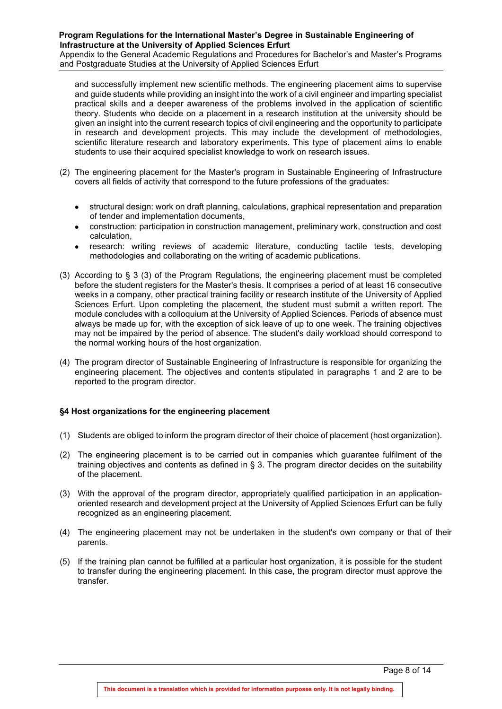Appendix to the General Academic Regulations and Procedures for Bachelor's and Master's Programs and Postgraduate Studies at the University of Applied Sciences Erfurt

and successfully implement new scientific methods. The engineering placement aims to supervise and guide students while providing an insight into the work of a civil engineer and imparting specialist practical skills and a deeper awareness of the problems involved in the application of scientific theory. Students who decide on a placement in a research institution at the university should be given an insight into the current research topics of civil engineering and the opportunity to participate in research and development projects. This may include the development of methodologies, scientific literature research and laboratory experiments. This type of placement aims to enable students to use their acquired specialist knowledge to work on research issues.

- (2) The engineering placement for the Master's program in Sustainable Engineering of Infrastructure covers all fields of activity that correspond to the future professions of the graduates:
	- structural design: work on draft planning, calculations, graphical representation and preparation of tender and implementation documents,
	- construction: participation in construction management, preliminary work, construction and cost calculation,
	- research: writing reviews of academic literature, conducting tactile tests, developing methodologies and collaborating on the writing of academic publications.
- (3) According to § 3 (3) of the Program Regulations, the engineering placement must be completed before the student registers for the Master's thesis. It comprises a period of at least 16 consecutive weeks in a company, other practical training facility or research institute of the University of Applied Sciences Erfurt. Upon completing the placement, the student must submit a written report. The module concludes with a colloquium at the University of Applied Sciences. Periods of absence must always be made up for, with the exception of sick leave of up to one week. The training objectives may not be impaired by the period of absence. The student's daily workload should correspond to the normal working hours of the host organization.
- (4) The program director of Sustainable Engineering of Infrastructure is responsible for organizing the engineering placement. The objectives and contents stipulated in paragraphs 1 and 2 are to be reported to the program director.

# **§4 Host organizations for the engineering placement**

- (1) Students are obliged to inform the program director of their choice of placement (host organization).
- (2) The engineering placement is to be carried out in companies which guarantee fulfilment of the training objectives and contents as defined in § 3. The program director decides on the suitability of the placement.
- (3) With the approval of the program director, appropriately qualified participation in an applicationoriented research and development project at the University of Applied Sciences Erfurt can be fully recognized as an engineering placement.
- (4) The engineering placement may not be undertaken in the student's own company or that of their parents.
- (5) If the training plan cannot be fulfilled at a particular host organization, it is possible for the student to transfer during the engineering placement. In this case, the program director must approve the transfer.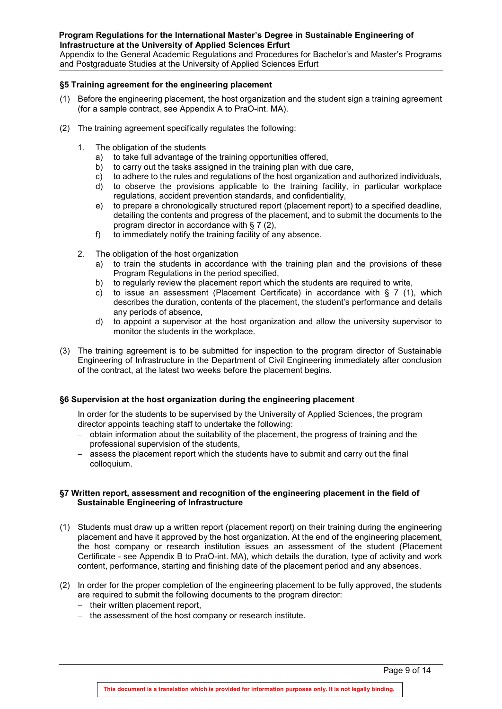Appendix to the General Academic Regulations and Procedures for Bachelor's and Master's Programs and Postgraduate Studies at the University of Applied Sciences Erfurt

#### **§5 Training agreement for the engineering placement**

- (1) Before the engineering placement, the host organization and the student sign a training agreement (for a sample contract, see Appendix A to PraO-int. MA).
- (2) The training agreement specifically regulates the following:
	- 1. The obligation of the students
		- a) to take full advantage of the training opportunities offered,
		- b) to carry out the tasks assigned in the training plan with due care,
		- c) to adhere to the rules and regulations of the host organization and authorized individuals,
		- d) to observe the provisions applicable to the training facility, in particular workplace regulations, accident prevention standards, and confidentiality,
		- e) to prepare a chronologically structured report (placement report) to a specified deadline, detailing the contents and progress of the placement, and to submit the documents to the program director in accordance with § 7 (2),
		- f) to immediately notify the training facility of any absence.
	- 2. The obligation of the host organization
		- a) to train the students in accordance with the training plan and the provisions of these Program Regulations in the period specified,
		- b) to regularly review the placement report which the students are required to write,
		- c) to issue an assessment (Placement Certificate) in accordance with  $\S 7$  (1), which describes the duration, contents of the placement, the student's performance and details any periods of absence,
		- d) to appoint a supervisor at the host organization and allow the university supervisor to monitor the students in the workplace.
- (3) The training agreement is to be submitted for inspection to the program director of Sustainable Engineering of Infrastructure in the Department of Civil Engineering immediately after conclusion of the contract, at the latest two weeks before the placement begins.

#### **§6 Supervision at the host organization during the engineering placement**

In order for the students to be supervised by the University of Applied Sciences, the program director appoints teaching staff to undertake the following:

- − obtain information about the suitability of the placement, the progress of training and the professional supervision of the students,
- assess the placement report which the students have to submit and carry out the final colloquium.

#### **§7 Written report, assessment and recognition of the engineering placement in the field of Sustainable Engineering of Infrastructure**

- (1) Students must draw up a written report (placement report) on their training during the engineering placement and have it approved by the host organization. At the end of the engineering placement, the host company or research institution issues an assessment of the student (Placement Certificate - see Appendix B to PraO-int. MA), which details the duration, type of activity and work content, performance, starting and finishing date of the placement period and any absences.
- (2) In order for the proper completion of the engineering placement to be fully approved, the students are required to submit the following documents to the program director:
	- − their written placement report,
	- − the assessment of the host company or research institute.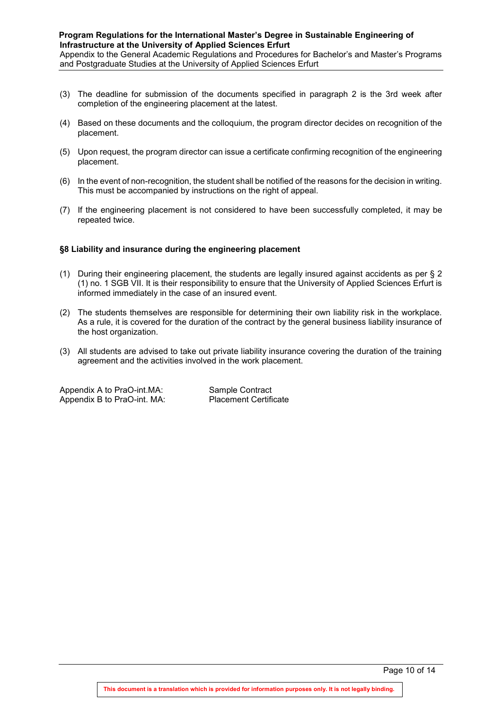Appendix to the General Academic Regulations and Procedures for Bachelor's and Master's Programs and Postgraduate Studies at the University of Applied Sciences Erfurt

- (3) The deadline for submission of the documents specified in paragraph 2 is the 3rd week after completion of the engineering placement at the latest.
- (4) Based on these documents and the colloquium, the program director decides on recognition of the placement.
- (5) Upon request, the program director can issue a certificate confirming recognition of the engineering placement.
- (6) In the event of non-recognition, the student shall be notified of the reasons for the decision in writing. This must be accompanied by instructions on the right of appeal.
- (7) If the engineering placement is not considered to have been successfully completed, it may be repeated twice.

#### **§8 Liability and insurance during the engineering placement**

- (1) During their engineering placement, the students are legally insured against accidents as per § 2 (1) no. 1 SGB VII. It is their responsibility to ensure that the University of Applied Sciences Erfurt is informed immediately in the case of an insured event.
- (2) The students themselves are responsible for determining their own liability risk in the workplace. As a rule, it is covered for the duration of the contract by the general business liability insurance of the host organization.
- (3) All students are advised to take out private liability insurance covering the duration of the training agreement and the activities involved in the work placement.

Appendix A to PraO-int.MA: Sample Contract<br>Appendix B to PraO-int. MA: Placement Certificate Appendix B to PraO-int. MA: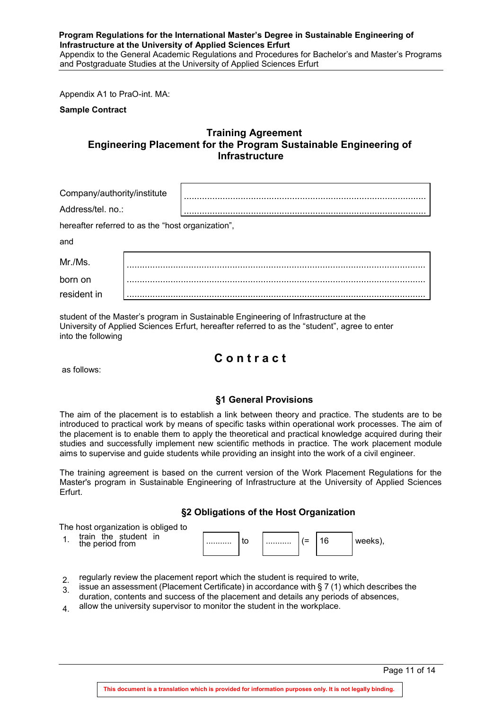#### **Program Regulations for the International Master's Degree in Sustainable Engineering of Infrastructure at the University of Applied Sciences Erfurt** Appendix to the General Academic Regulations and Procedures for Bachelor's and Master's Programs and Postgraduate Studies at the University of Applied Sciences Erfurt

Appendix A1 to PraO-int. MA:

<span id="page-10-0"></span>**Sample Contract**

# **Training Agreement Engineering Placement for the Program Sustainable Engineering of Infrastructure**

| Company/authority/institute                       |  |  |
|---------------------------------------------------|--|--|
| Address/tel. no.:                                 |  |  |
| hereafter referred to as the "host organization", |  |  |
| and                                               |  |  |
| Mr./Ms.                                           |  |  |
| born on                                           |  |  |
| resident in                                       |  |  |

student of the Master's program in Sustainable Engineering of Infrastructure at the University of Applied Sciences Erfurt, hereafter referred to as the "student", agree to enter into the following

# **C o n t r a c t**

as follows:

# **§1 General Provisions**

The aim of the placement is to establish a link between theory and practice. The students are to be introduced to practical work by means of specific tasks within operational work processes. The aim of the placement is to enable them to apply the theoretical and practical knowledge acquired during their studies and successfully implement new scientific methods in practice. The work placement module aims to supervise and guide students while providing an insight into the work of a civil engineer.

The training agreement is based on the current version of the Work Placement Regulations for the Master's program in Sustainable Engineering of Infrastructure at the University of Applied Sciences Erfurt.

**§2 Obligations of the Host Organization**

The host organization is obliged to

1. train the student in the period from

| . | $\tilde{}$ |  |  |
|---|------------|--|--|

- $2<sub>2</sub>$  regularly review the placement report which the student is required to write,
- $\frac{21}{3}$  issue an assessment (Placement Certificate) in accordance with § 7 (1) which describes the duration, contents and success of the placement and details any periods of absences,
- $4$  allow the university supervisor to monitor the student in the workplace.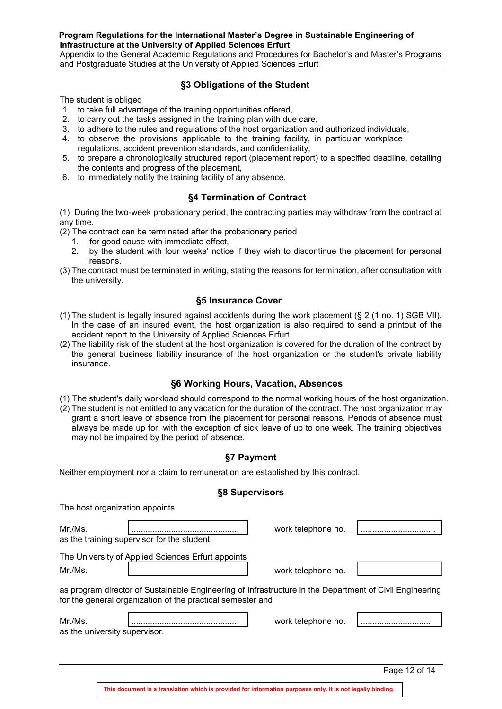Appendix to the General Academic Regulations and Procedures for Bachelor's and Master's Programs and Postgraduate Studies at the University of Applied Sciences Erfurt

# **§3 Obligations of the Student**

The student is obliged

- 1. to take full advantage of the training opportunities offered,
- 2. to carry out the tasks assigned in the training plan with due care,
- 3. to adhere to the rules and regulations of the host organization and authorized individuals,
- 4. to observe the provisions applicable to the training facility, in particular workplace regulations, accident prevention standards, and confidentiality,
- 5. to prepare a chronologically structured report (placement report) to a specified deadline, detailing the contents and progress of the placement,
- 6. to immediately notify the training facility of any absence.

# **§4 Termination of Contract**

(1) During the two-week probationary period, the contracting parties may withdraw from the contract at any time.

- (2) The contract can be terminated after the probationary period
	- 1. for good cause with immediate effect,<br>2. by the student with four weeks' notice

The host organization appoints

- 2. by the student with four weeks' notice if they wish to discontinue the placement for personal reasons.
- (3) The contract must be terminated in writing, stating the reasons for termination, after consultation with the university.

#### **§5 Insurance Cover**

- (1) The student is legally insured against accidents during the work placement (§ 2 (1 no. 1) SGB VII). In the case of an insured event, the host organization is also required to send a printout of the accident report to the University of Applied Sciences Erfurt.
- (2) The liability risk of the student at the host organization is covered for the duration of the contract by the general business liability insurance of the host organization or the student's private liability insurance.

# **§6 Working Hours, Vacation, Absences**

- (1) The student's daily workload should correspond to the normal working hours of the host organization.
- (2) The student is not entitled to any vacation for the duration of the contract. The host organization may grant a short leave of absence from the placement for personal reasons. Periods of absence must always be made up for, with the exception of sick leave of up to one week. The training objectives may not be impaired by the period of absence.

# **§7 Payment**

Neither employment nor a claim to remuneration are established by this contract.

#### **§8 Supervisors**

|                               | The Hoot organization appoints                                                                                                                                        |                    |               |
|-------------------------------|-----------------------------------------------------------------------------------------------------------------------------------------------------------------------|--------------------|---------------|
| Mr./Ms.                       |                                                                                                                                                                       | work telephone no. |               |
|                               | as the training supervisor for the student.                                                                                                                           |                    |               |
|                               | The University of Applied Sciences Erfurt appoints                                                                                                                    |                    |               |
| Mr./Ms.                       |                                                                                                                                                                       | work telephone no. |               |
|                               | as program director of Sustainable Engineering of Infrastructure in the Department of Civil Engineering<br>for the general organization of the practical semester and |                    |               |
| Mr./Ms.                       |                                                                                                                                                                       | work telephone no. |               |
| as the university supervisor. |                                                                                                                                                                       |                    |               |
|                               |                                                                                                                                                                       |                    |               |
|                               |                                                                                                                                                                       |                    | Page 12 of 14 |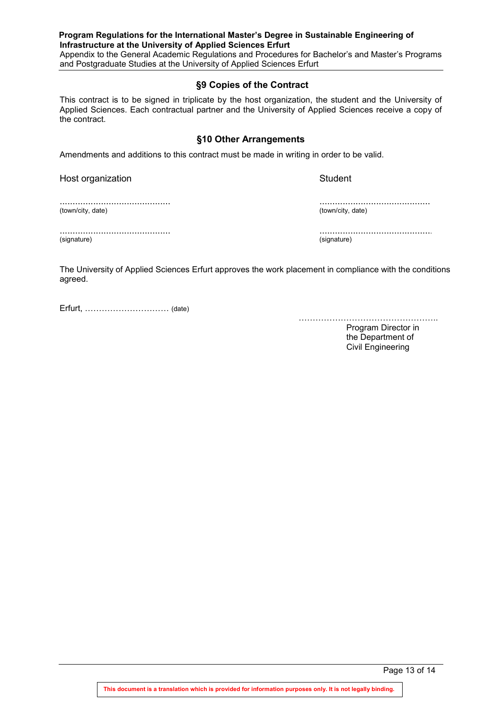Appendix to the General Academic Regulations and Procedures for Bachelor's and Master's Programs and Postgraduate Studies at the University of Applied Sciences Erfurt

# **§9 Copies of the Contract**

This contract is to be signed in triplicate by the host organization, the student and the University of Applied Sciences. Each contractual partner and the University of Applied Sciences receive a copy of the contract.

# **§10 Other Arrangements**

Amendments and additions to this contract must be made in writing in order to be valid.

Host organization **Student** Student

........................................... (town/city, date)

........................................... (town/city, date)

........................................... (signature)

............................................ (signature)

The University of Applied Sciences Erfurt approves the work placement in compliance with the conditions agreed.

Erfurt, ………………………… (date)

……………………………………………………

Program Director in the Department of Civil Engineering